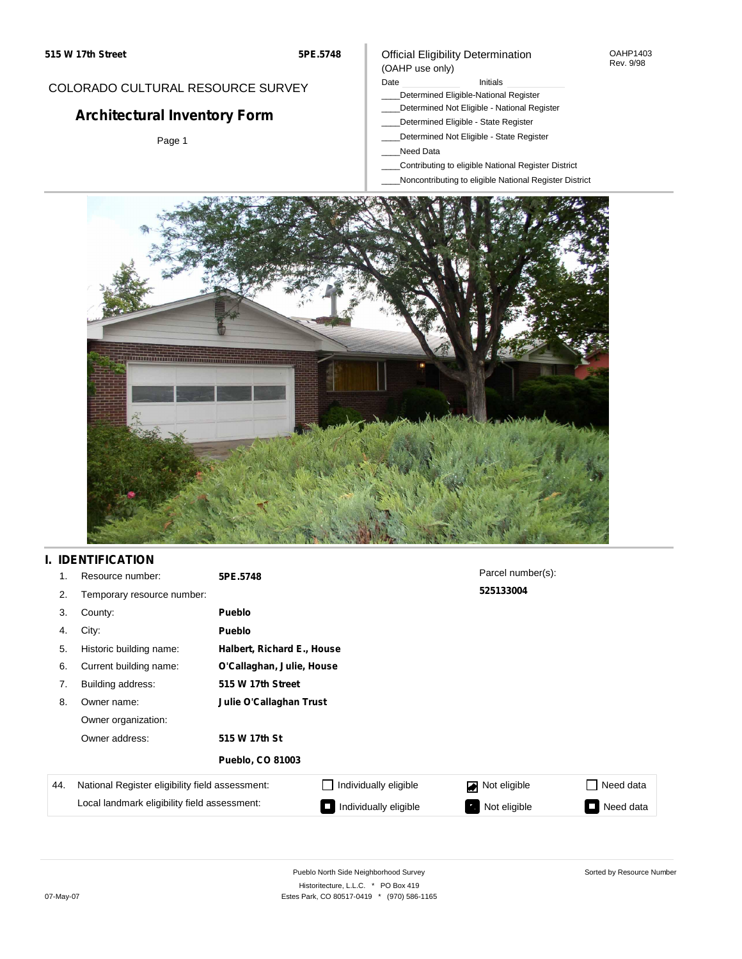### COLORADO CULTURAL RESOURCE SURVEY

# **Architectural Inventory Form**

Page 1

### Official Eligibility Determination (OAHP use only)

Date **Initials** Initials

- \_\_\_\_Determined Eligible-National Register
- \_\_\_\_Determined Not Eligible National Register
- \_\_\_\_Determined Eligible State Register
- \_\_\_\_Determined Not Eligible State Register
- \_\_\_\_Need Data
- \_\_\_\_Contributing to eligible National Register District
- \_\_\_\_Noncontributing to eligible National Register District



## **I. IDENTIFICATION**

| 1.  | Resource number:                                | 5PE.5748                |                            | Parcel number(s): |           |  |  |
|-----|-------------------------------------------------|-------------------------|----------------------------|-------------------|-----------|--|--|
| 2.  | Temporary resource number:                      |                         |                            | 525133004         |           |  |  |
| 3.  | County:                                         | Pueblo                  |                            |                   |           |  |  |
| 4.  | City:                                           | Pueblo                  |                            |                   |           |  |  |
| 5.  | Historic building name:                         |                         | Halbert, Richard E., House |                   |           |  |  |
| 6.  | Current building name:                          |                         | O'Callaghan, Julie, House  |                   |           |  |  |
| 7.  | Building address:                               | 515 W 17th Street       |                            |                   |           |  |  |
| 8.  | Owner name:                                     | Julie O'Callaghan Trust |                            |                   |           |  |  |
|     | Owner organization:                             |                         |                            |                   |           |  |  |
|     | Owner address:                                  | 515 W 17th St           |                            |                   |           |  |  |
|     |                                                 | <b>Pueblo, CO 81003</b> |                            |                   |           |  |  |
| 44. | National Register eligibility field assessment: |                         | Individually eligible      | Not eligible<br>◪ | Need data |  |  |
|     | Local landmark eligibility field assessment:    |                         | Individually eligible      | Not eligible      | Need data |  |  |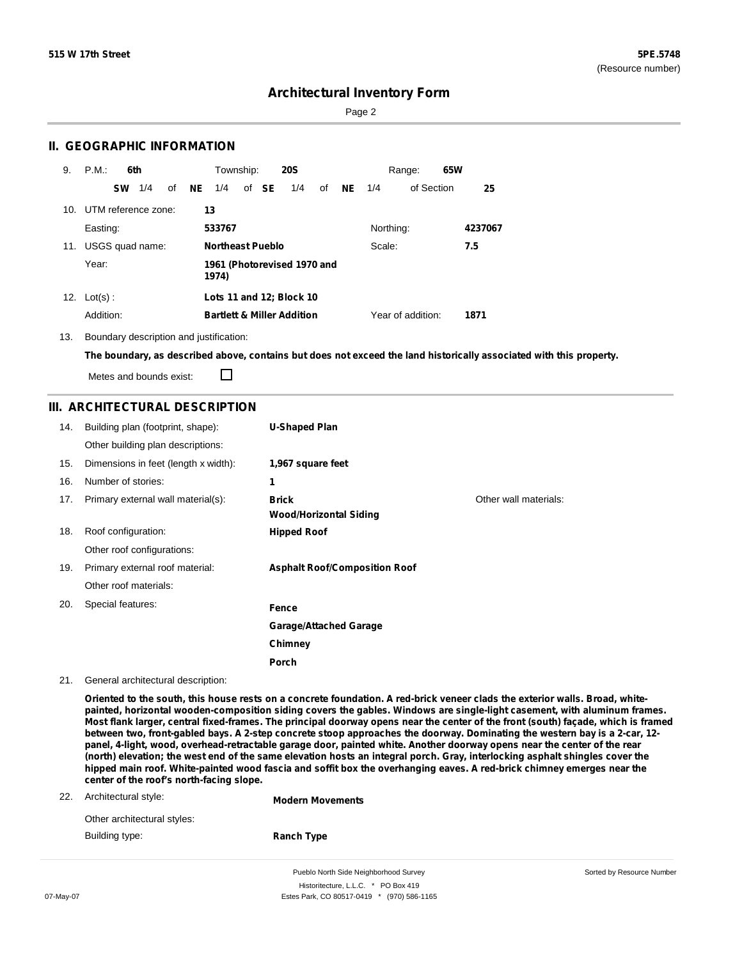Sorted by Resource Number

## **Architectural Inventory Form**

Page 2

### **II. GEOGRAPHIC INFORMATION**

| 9.  | P.M.                    | 6th |    |    | Township:               |       | <b>20S</b>                            |    |           |           | Range:            | 65W |         |
|-----|-------------------------|-----|----|----|-------------------------|-------|---------------------------------------|----|-----------|-----------|-------------------|-----|---------|
|     | <b>SW</b>               | 1/4 | of | NE | 1/4                     | of SE | 1/4                                   | of | <b>NE</b> | 1/4       | of Section        |     | 25      |
|     | 10. UTM reference zone: |     |    |    | 13                      |       |                                       |    |           |           |                   |     |         |
|     | Easting:                |     |    |    | 533767                  |       |                                       |    |           | Northing: |                   |     | 4237067 |
| 11. | USGS quad name:         |     |    |    | <b>Northeast Pueblo</b> |       |                                       |    |           | Scale:    |                   |     | 7.5     |
|     | Year:                   |     |    |    | 1974)                   |       | 1961 (Photorevised 1970 and           |    |           |           |                   |     |         |
|     | 12. $Lot(s)$ :          |     |    |    |                         |       | Lots 11 and 12; Block 10              |    |           |           |                   |     |         |
|     | Addition:               |     |    |    |                         |       | <b>Bartlett &amp; Miller Addition</b> |    |           |           | Year of addition: |     | 1871    |

13. Boundary description and justification:

The boundary, as described above, contains but does not exceed the land historically associated with this property.

Metes and bounds exist:

 $\Box$ 

### **III. ARCHITECTURAL DESCRIPTION**

| 14. | Building plan (footprint, shape):    | <b>U-Shaped Plan</b>                          |                       |
|-----|--------------------------------------|-----------------------------------------------|-----------------------|
|     | Other building plan descriptions:    |                                               |                       |
| 15. | Dimensions in feet (length x width): | 1,967 square feet                             |                       |
| 16. | Number of stories:                   | 1                                             |                       |
| 17. | Primary external wall material(s):   | <b>Brick</b><br><b>Wood/Horizontal Siding</b> | Other wall materials: |
| 18. | Roof configuration:                  | <b>Hipped Roof</b>                            |                       |
|     | Other roof configurations:           |                                               |                       |
| 19. | Primary external roof material:      | <b>Asphalt Roof/Composition Roof</b>          |                       |
|     | Other roof materials:                |                                               |                       |
| 20. | Special features:                    | Fence                                         |                       |
|     |                                      | <b>Garage/Attached Garage</b>                 |                       |
|     |                                      | Chimney                                       |                       |
|     |                                      | Porch                                         |                       |

21. General architectural description:

Oriented to the south, this house rests on a concrete foundation. A red-brick veneer clads the exterior walls. Broad, white**painted, horizontal wooden-composition siding covers the gables. Windows are single-light casement, with aluminum frames.** Most flank larger, central fixed-frames. The principal doorway opens near the center of the front (south) façade, which is framed between two, front-gabled bays. A 2-step concrete stoop approaches the doorway. Dominating the western bay is a 2-car, 12panel, 4-light, wood, overhead-retractable garage door, painted white. Another doorway opens near the center of the rear (north) elevation; the west end of the same elevation hosts an integral porch. Gray, interlocking asphalt shingles cover the hipped main roof. White-painted wood fascia and soffit box the overhanging eaves. A red-brick chimney emerges near the **center of the roof's north-facing slope.**

| 22. | Architectural style:        | <b>Modern Movements</b> |
|-----|-----------------------------|-------------------------|
|     | Other architectural styles: |                         |
|     | Building type:              | <b>Ranch Type</b>       |
|     |                             |                         |

Pueblo North Side Neighborhood Survey Historitecture, L.L.C. \* PO Box 419 07-May-07 **Estes Park, CO 80517-0419** \* (970) 586-1165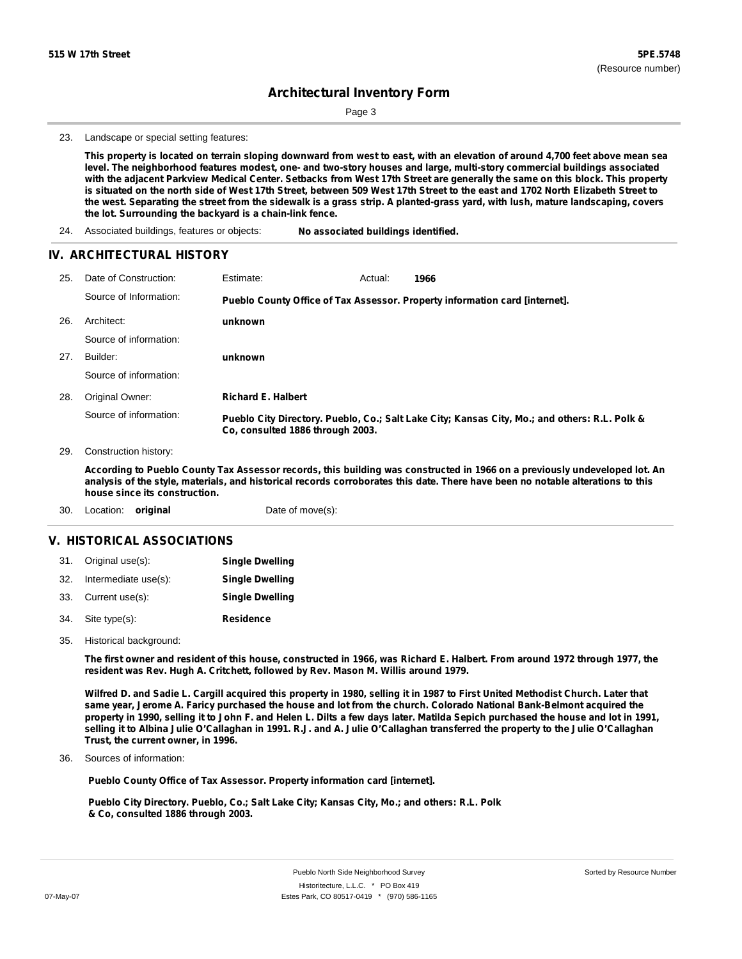Page 3

23. Landscape or special setting features:

This property is located on terrain sloping downward from west to east, with an elevation of around 4,700 feet above mean sea level. The neighborhood features modest, one- and two-story houses and large, multi-story commercial buildings associated with the adjacent Parkview Medical Center. Setbacks from West 17th Street are generally the same on this block. This property is situated on the north side of West 17th Street, between 509 West 17th Street to the east and 1702 North Elizabeth Street to the west. Separating the street from the sidewalk is a grass strip. A planted-grass yard, with lush, mature landscaping, covers **the lot. Surrounding the backyard is a chain-link fence.**

24. Associated buildings, features or objects: **No associated buildings identified.**

#### **IV. ARCHITECTURAL HISTORY**

| 25. | Date of Construction:  | Estimate:                        | Actual: | 1966                                                                                          |
|-----|------------------------|----------------------------------|---------|-----------------------------------------------------------------------------------------------|
|     | Source of Information: |                                  |         | Pueblo County Office of Tax Assessor. Property information card [internet].                   |
| 26. | Architect:             | unknown                          |         |                                                                                               |
|     | Source of information: |                                  |         |                                                                                               |
| 27. | Builder:               | unknown                          |         |                                                                                               |
|     | Source of information: |                                  |         |                                                                                               |
| 28. | Original Owner:        | <b>Richard E. Halbert</b>        |         |                                                                                               |
|     | Source of information: | Co. consulted 1886 through 2003. |         | Pueblo City Directory. Pueblo, Co.; Salt Lake City; Kansas City, Mo.; and others: R.L. Polk & |

29. Construction history:

According to Pueblo County Tax Assessor records, this building was constructed in 1966 on a previously undeveloped lot. An analysis of the style, materials, and historical records corroborates this date. There have been no notable alterations to this **house since its construction.**

30. Location: **original** Date of move(s):

#### **V. HISTORICAL ASSOCIATIONS**

|     | 31. Original use(s): | <b>Single Dwelling</b> |
|-----|----------------------|------------------------|
| 32. | Intermediate use(s): | <b>Single Dwelling</b> |
| 33. | Current use(s):      | <b>Single Dwelling</b> |
| 34. | Site type(s):        | <b>Residence</b>       |

35. Historical background:

The first owner and resident of this house, constructed in 1966, was Richard E. Halbert. From around 1972 through 1977, the **resident was Rev. Hugh A. Critchett, followed by Rev. Mason M. Willis around 1979.**

Wilfred D. and Sadie L. Cargill acquired this property in 1980, selling it in 1987 to First United Methodist Church. Later that same year, Jerome A. Faricy purchased the house and lot from the church. Colorado National Bank-Belmont acquired the property in 1990, selling it to John F. and Helen L. Dilts a few days later. Matilda Sepich purchased the house and lot in 1991, selling it to Albina Julie O'Callaghan in 1991. R.J. and A. Julie O'Callaghan transferred the property to the Julie O'Callaghan **Trust, the current owner, in 1996.**

Sources of information: 36.

**Pueblo County Office of Tax Assessor. Property information card [internet].**

**Pueblo City Directory. Pueblo, Co.; Salt Lake City; Kansas City, Mo.; and others: R.L. Polk & Co, consulted 1886 through 2003.**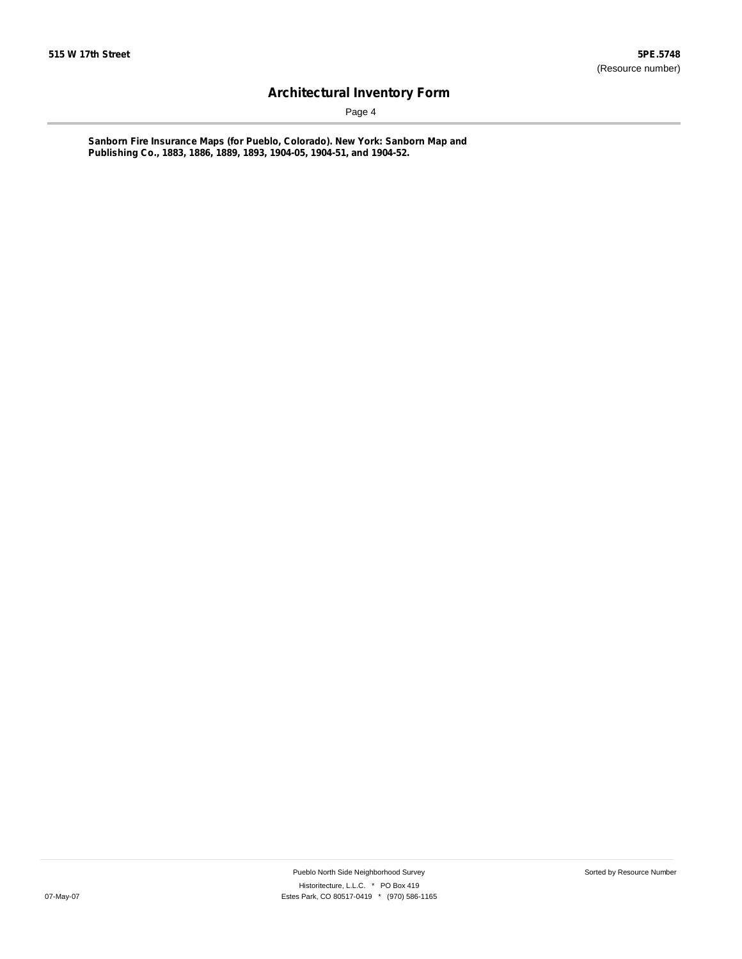Page 4

**Sanborn Fire Insurance Maps (for Pueblo, Colorado). New York: Sanborn Map and Publishing Co., 1883, 1886, 1889, 1893, 1904-05, 1904-51, and 1904-52.**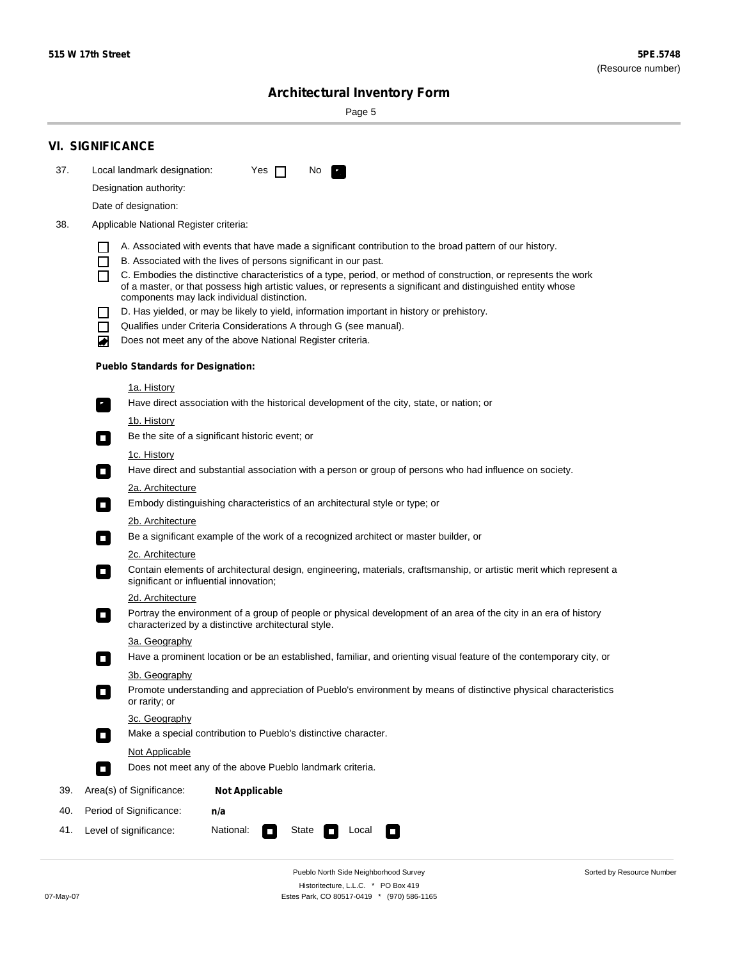Sorted by Resource Number

# **Architectural Inventory Form**

Page 5

|     | <b>VI. SIGNIFICANCE</b>                                                                                                                                                           |  |  |  |
|-----|-----------------------------------------------------------------------------------------------------------------------------------------------------------------------------------|--|--|--|
| 37. | Local landmark designation:<br>Yes $\Box$<br>No.<br>$\mathbf{F}_{\mathbf{r}}$                                                                                                     |  |  |  |
|     | Designation authority:                                                                                                                                                            |  |  |  |
|     | Date of designation:                                                                                                                                                              |  |  |  |
| 38. | Applicable National Register criteria:                                                                                                                                            |  |  |  |
|     | A. Associated with events that have made a significant contribution to the broad pattern of our history.                                                                          |  |  |  |
|     | B. Associated with the lives of persons significant in our past.<br>$\blacksquare$                                                                                                |  |  |  |
|     | C. Embodies the distinctive characteristics of a type, period, or method of construction, or represents the work<br>П                                                             |  |  |  |
|     | of a master, or that possess high artistic values, or represents a significant and distinguished entity whose<br>components may lack individual distinction.                      |  |  |  |
|     | D. Has yielded, or may be likely to yield, information important in history or prehistory.                                                                                        |  |  |  |
|     | Qualifies under Criteria Considerations A through G (see manual).<br>$\sim$                                                                                                       |  |  |  |
|     | Does not meet any of the above National Register criteria.<br>₩                                                                                                                   |  |  |  |
|     | <b>Pueblo Standards for Designation:</b>                                                                                                                                          |  |  |  |
|     | 1a. History                                                                                                                                                                       |  |  |  |
|     | $\overline{\mathbf{r}}_1$<br>Have direct association with the historical development of the city, state, or nation; or                                                            |  |  |  |
|     | <u>1b. History</u>                                                                                                                                                                |  |  |  |
|     | Be the site of a significant historic event; or<br>$\mathcal{L}_{\mathcal{A}}$                                                                                                    |  |  |  |
|     | 1c. History                                                                                                                                                                       |  |  |  |
|     | Have direct and substantial association with a person or group of persons who had influence on society.<br>$\overline{\phantom{a}}$                                               |  |  |  |
|     | 2a. Architecture<br>Embody distinguishing characteristics of an architectural style or type; or                                                                                   |  |  |  |
|     | $\Box$                                                                                                                                                                            |  |  |  |
|     | 2b. Architecture<br>Be a significant example of the work of a recognized architect or master builder, or<br>$\Box$                                                                |  |  |  |
|     | 2c. Architecture                                                                                                                                                                  |  |  |  |
|     | Contain elements of architectural design, engineering, materials, craftsmanship, or artistic merit which represent a<br>$\Box$<br>significant or influential innovation;          |  |  |  |
|     | 2d. Architecture                                                                                                                                                                  |  |  |  |
|     | Portray the environment of a group of people or physical development of an area of the city in an era of history<br>$\Box$<br>characterized by a distinctive architectural style. |  |  |  |
|     | 3a. Geography                                                                                                                                                                     |  |  |  |
|     | Have a prominent location or be an established, familiar, and orienting visual feature of the contemporary city, or                                                               |  |  |  |
|     | 3b. Geography                                                                                                                                                                     |  |  |  |
|     | Promote understanding and appreciation of Pueblo's environment by means of distinctive physical characteristics<br>or rarity; or                                                  |  |  |  |
|     | 3c. Geography                                                                                                                                                                     |  |  |  |
|     | Make a special contribution to Pueblo's distinctive character.<br>$\overline{\phantom{a}}$                                                                                        |  |  |  |
|     | <b>Not Applicable</b><br>Does not meet any of the above Pueblo landmark criteria.                                                                                                 |  |  |  |
|     | $\overline{\phantom{a}}$                                                                                                                                                          |  |  |  |
| 39. | Area(s) of Significance:<br><b>Not Applicable</b>                                                                                                                                 |  |  |  |
| 40. | Period of Significance:<br>n/a                                                                                                                                                    |  |  |  |
| 41. | Level of significance:<br>National:<br>State<br>Local<br>$\Box$<br>$\sim$                                                                                                         |  |  |  |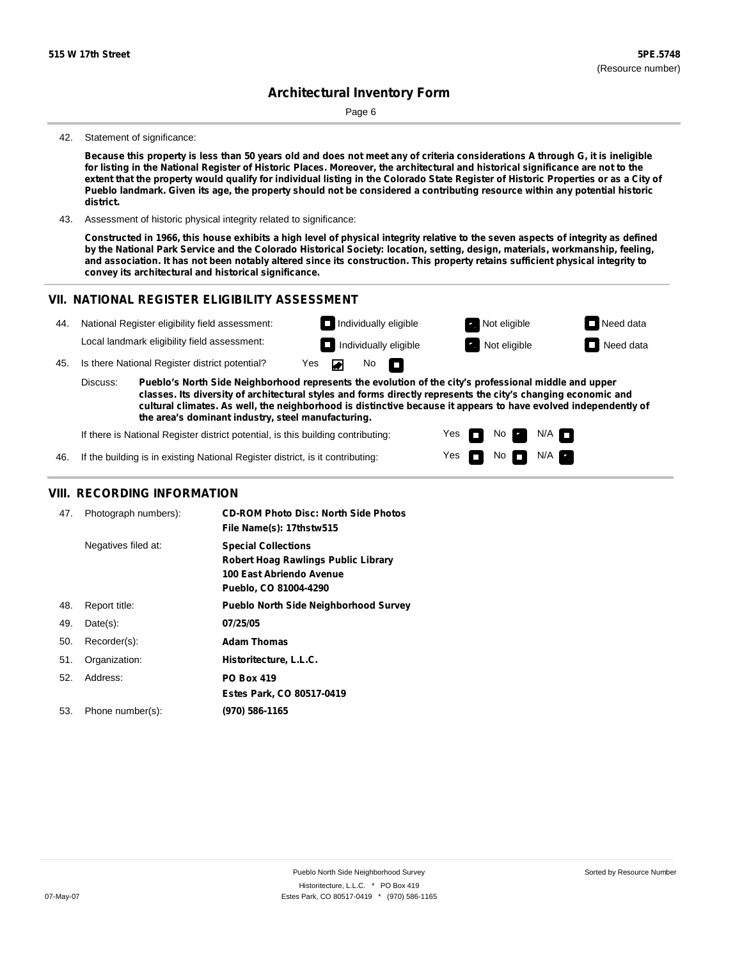Page 6

#### 42. Statement of significance:

Because this property is less than 50 years old and does not meet any of criteria considerations A through G, it is ineligible for listing in the National Register of Historic Places. Moreover, the architectural and historical significance are not to the extent that the property would qualify for individual listing in the Colorado State Register of Historic Properties or as a City of Pueblo landmark. Given its age, the property should not be considered a contributing resource within any potential historic **district.**

43. Assessment of historic physical integrity related to significance:

Constructed in 1966, this house exhibits a high level of physical integrity relative to the seven aspects of integrity as defined by the National Park Service and the Colorado Historical Society: location, setting, design, materials, workmanship, feeling, and association. It has not been notably altered since its construction. This property retains sufficient physical integrity to **convey its architectural and historical significance.**

> Yes Yes

П

No

No  $\blacksquare$  N/A

 $N/A$ 

#### **VII. NATIONAL REGISTER ELIGIBILITY ASSESSMENT Individually eligible Not eligible** Not eligible **Need data** 44. National Register eligibility field assessment: Local landmark eligibility field assessment: **I** Individually eligible **Not** Extract Not eligible **Need data** 45. Is there National Register district potential? Yes ◚ No П **Pueblo's North Side Neighborhood represents the evolution of the city's professional middle and upper** Discuss: **classes. Its diversity of architectural styles and forms directly represents the city's changing economic and cultural climates. As well, the neighborhood is distinctive because it appears to have evolved independently of the area's dominant industry, steel manufacturing.**

If there is National Register district potential, is this building contributing:

If the building is in existing National Register district, is it contributing: 46.

### **VIII. RECORDING INFORMATION**

| 47. | Photograph numbers): | <b>CD-ROM Photo Disc: North Side Photos</b><br>File Name(s): 17thstw515                                                       |
|-----|----------------------|-------------------------------------------------------------------------------------------------------------------------------|
|     | Negatives filed at:  | <b>Special Collections</b><br><b>Robert Hoag Rawlings Public Library</b><br>100 East Abriendo Avenue<br>Pueblo, CO 81004-4290 |
| 48. | Report title:        | <b>Pueblo North Side Neighborhood Survey</b>                                                                                  |
| 49. | $Date(s)$ :          | 07/25/05                                                                                                                      |
| 50. | Recorder(s):         | <b>Adam Thomas</b>                                                                                                            |
| 51. | Organization:        | Historitecture, L.L.C.                                                                                                        |
| 52. | Address:             | <b>PO Box 419</b>                                                                                                             |
|     |                      | Estes Park, CO 80517-0419                                                                                                     |
| 53. | Phone number(s):     | (970) 586-1165                                                                                                                |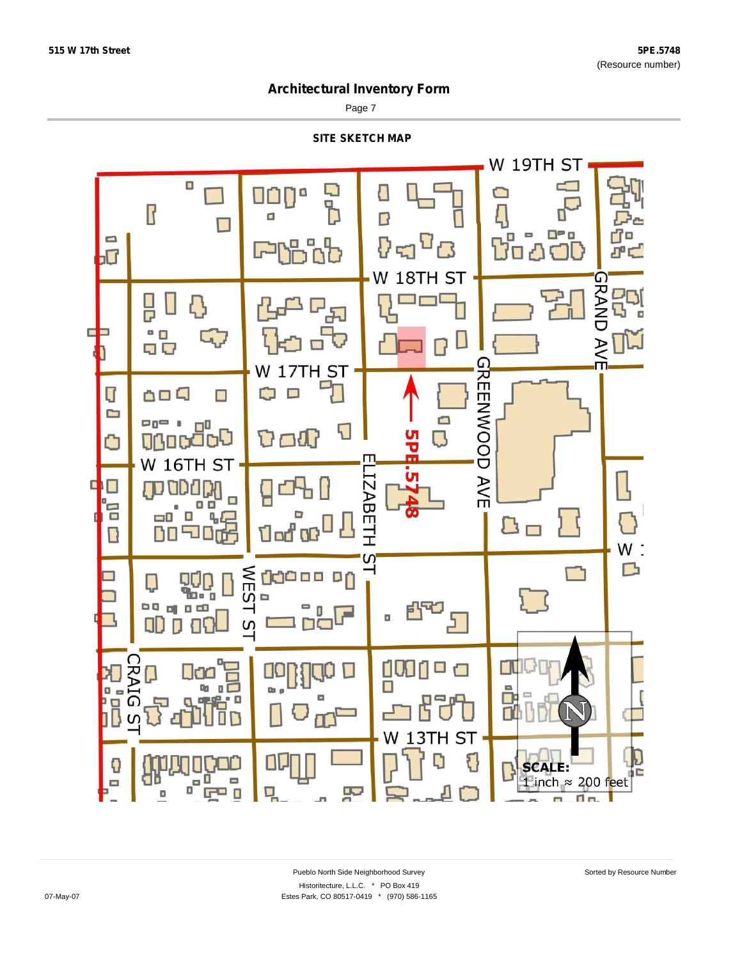Page 7